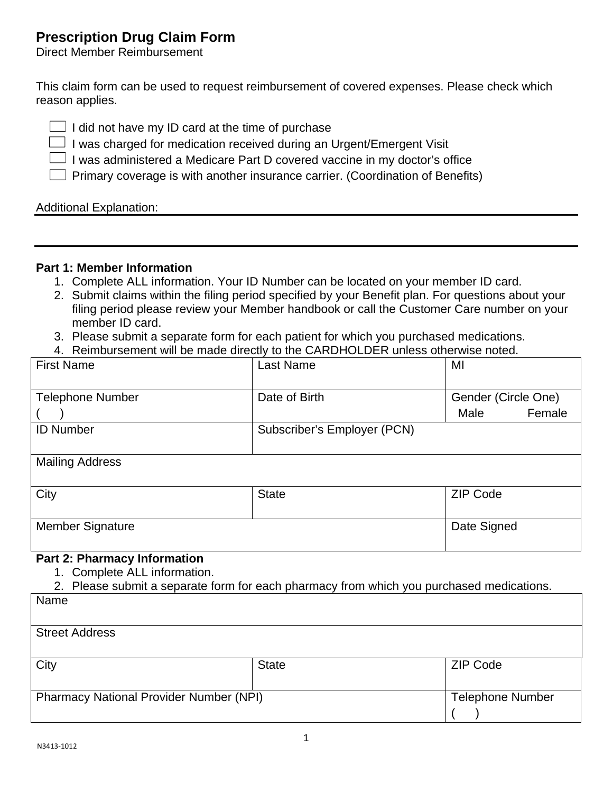# **Prescription Drug Claim Form**

Direct Member Reimbursement

This claim form can be used to request reimbursement of covered expenses. Please check which reason applies.

 $\Box$  I did not have my ID card at the time of purchase

 $\Box$  I was charged for medication received during an Urgent/Emergent Visit

 $\Box$  I was administered a Medicare Part D covered vaccine in my doctor's office

 $\Box$  Primary coverage is with another insurance carrier. (Coordination of Benefits)

Additional Explanation:

#### **Part 1: Member Information**

- 1. Complete ALL information. Your ID Number can be located on your member ID card.
- 2. Submit claims within the filing period specified by your Benefit plan. For questions about your filing period please review your Member handbook or call the Customer Care number on your member ID card.
- 3. Please submit a separate form for each patient for which you purchased medications.
- 4. Reimbursement will be made directly to the CARDHOLDER unless otherwise noted.

| <b>First Name</b>       | Last Name                   | MI                  |
|-------------------------|-----------------------------|---------------------|
| <b>Telephone Number</b> | Date of Birth               | Gender (Circle One) |
|                         |                             | Female<br>Male      |
| <b>ID Number</b>        | Subscriber's Employer (PCN) |                     |
|                         |                             |                     |
| <b>Mailing Address</b>  |                             |                     |
| City                    | <b>State</b>                | <b>ZIP Code</b>     |
|                         |                             |                     |
| <b>Member Signature</b> |                             | Date Signed         |
|                         |                             |                     |

#### **Part 2: Pharmacy Information**

1. Complete ALL information.

2. Please submit a separate form for each pharmacy from which you purchased medications.

| Name                                           |              |                         |  |  |
|------------------------------------------------|--------------|-------------------------|--|--|
|                                                |              |                         |  |  |
| <b>Street Address</b>                          |              |                         |  |  |
|                                                |              |                         |  |  |
| City                                           | <b>State</b> | <b>ZIP Code</b>         |  |  |
|                                                |              |                         |  |  |
| <b>Pharmacy National Provider Number (NPI)</b> |              | <b>Telephone Number</b> |  |  |
|                                                |              |                         |  |  |